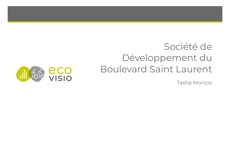# Société de Développement du Boulevard Saint Laurent

Tasha Morizio

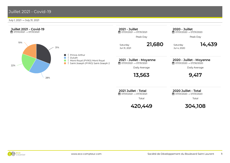Juillet 2021 - Covid-19

July 1, 2021 → July 31, 2021



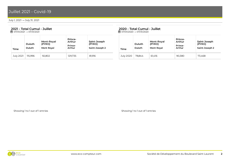## Juillet 2021 - Covid-19

July 1, 2021 → July 31, 2021

#### **2021 - Total Cumul - Juillet**

**曲 07/01/2021 → 07/31/2021** 

| Time      | <b>Duluth</b><br><b>Duluth</b> | Mont-Royal<br>(PYRO)<br>Mont Royal | Prince-<br>Arthur<br>Prince-<br>Arthur | Saint-Joseph<br>(PYRO)<br>Saint-Joseph 2 |
|-----------|--------------------------------|------------------------------------|----------------------------------------|------------------------------------------|
| July 2021 | 115.996                        | 92,802                             | 129,735                                | 81.916                                   |

### **2020 - Total Cumul - Juillet**

**曲** 07/01/2020 → 07/31/2020

| Time      | <b>Duluth</b><br><b>Duluth</b> | Mont-Royal<br>(PYRO)<br>Mont Royal | Prince-<br>Arthur<br>Prince-<br>Arthur | Saint-Joseph<br>(PYRO)<br>Saint-Joseph 2 |
|-----------|--------------------------------|------------------------------------|----------------------------------------|------------------------------------------|
| July 2020 | 78.844                         | 61.416                             | 90.380                                 | 73,468                                   |

Showing 1 to 1 out of 1 entries

Showing 1 to 1 out of 1 entries